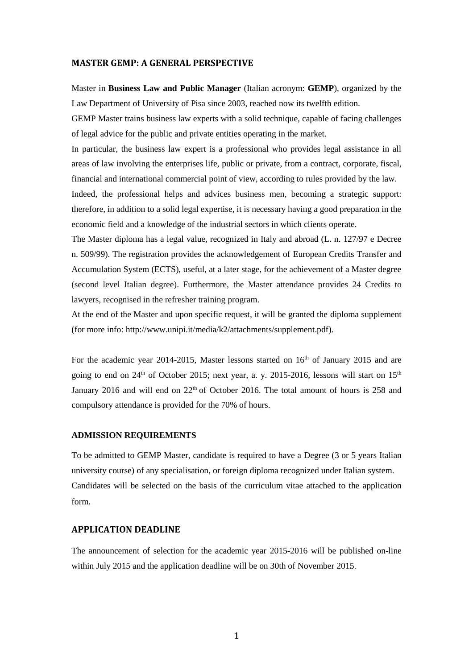#### **MASTER GEMP: A GENERAL PERSPECTIVE**

Master in **Business Law and Public Manager** (Italian acronym: **GEMP**), organized by the Law Department of University of Pisa since 2003, reached now its twelfth edition.

GEMP Master trains business law experts with a solid technique, capable of facing challenges of legal advice for the public and private entities operating in the market.

In particular, the business law expert is a professional who provides legal assistance in all areas of law involving the enterprises life, public or private, from a contract, corporate, fiscal, financial and international commercial point of view, according to rules provided by the law.

Indeed, the professional helps and advices business men, becoming a strategic support: therefore, in addition to a solid legal expertise, it is necessary having a good preparation in the economic field and a knowledge of the industrial sectors in which clients operate.

The Master diploma has a legal value, recognized in Italy and abroad (L. n. 127/97 e Decree n. 509/99). The registration provides the acknowledgement of European Credits Transfer and Accumulation System (ECTS), useful, at a later stage, for the achievement of a Master degree (second level Italian degree). Furthermore, the Master attendance provides 24 Credits to lawyers, recognised in the refresher training program.

At the end of the Master and upon specific request, it will be granted the diploma supplement (for more info: http://www.unipi.it/media/k2/attachments/supplement.pdf).

For the academic year 2014-2015, Master lessons started on  $16<sup>th</sup>$  of January 2015 and are going to end on  $24<sup>th</sup>$  of October 2015; next year, a. y. 2015-2016, lessons will start on  $15<sup>th</sup>$ January 2016 and will end on  $22<sup>th</sup>$  of October 2016. The total amount of hours is 258 and compulsory attendance is provided for the 70% of hours.

#### **ADMISSION REQUIREMENTS**

To be admitted to GEMP Master, candidate is required to have a Degree (3 or 5 years Italian university course) of any specialisation, or foreign diploma recognized under Italian system. Candidates will be selected on the basis of the curriculum vitae attached to the application form.

## **APPLICATION DEADLINE**

The announcement of selection for the academic year 2015-2016 will be published on-line within July 2015 and the application deadline will be on 30th of November 2015.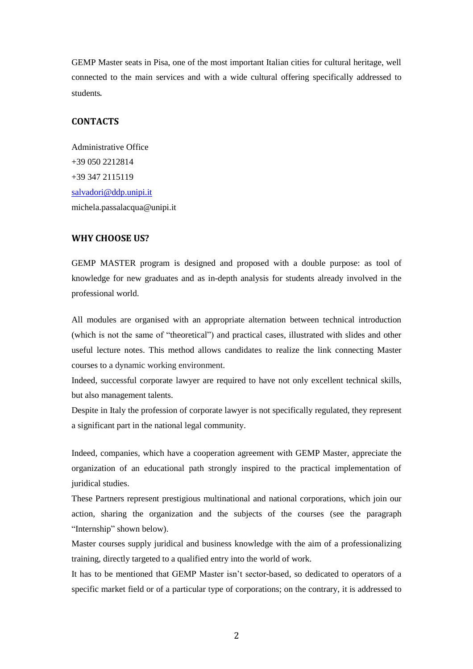GEMP Master seats in Pisa, one of the most important Italian cities for cultural heritage, well connected to the main services and with a wide cultural offering specifically addressed to students.

# **CONTACTS**

Administrative Office +39 050 2212814 +39 347 2115119 [salvadori@ddp.unipi.it](mailto:salvadori@ddp.unipi.it) michela.passalacqua@unipi.it

## **WHY CHOOSE US?**

GEMP MASTER program is designed and proposed with a double purpose: as tool of knowledge for new graduates and as in-depth analysis for students already involved in the professional world.

All modules are organised with an appropriate alternation between technical introduction (which is not the same of "theoretical") and practical cases, illustrated with slides and other useful lecture notes. This method allows candidates to realize the link connecting Master courses to a dynamic working environment.

Indeed, successful corporate lawyer are required to have not only excellent technical skills, but also management talents.

Despite in Italy the profession of corporate lawyer is not specifically regulated, they represent a significant part in the national legal community.

Indeed, companies, which have a cooperation agreement with GEMP Master, appreciate the organization of an educational path strongly inspired to the practical implementation of juridical studies.

These Partners represent prestigious multinational and national corporations, which join our action, sharing the organization and the subjects of the courses (see the paragraph "Internship" shown below).

Master courses supply juridical and business knowledge with the aim of a professionalizing training, directly targeted to a qualified entry into the world of work.

It has to be mentioned that GEMP Master isn't sector-based, so dedicated to operators of a specific market field or of a particular type of corporations; on the contrary, it is addressed to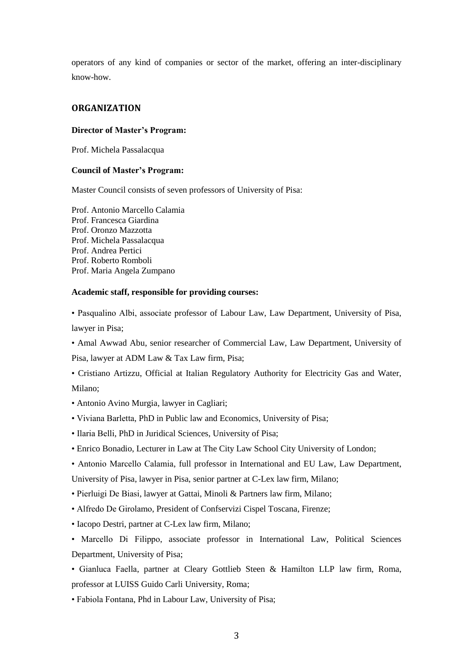operators of any kind of companies or sector of the market, offering an inter-disciplinary know-how.

# **ORGANIZATION**

## **Director of Master's Program:**

Prof. Michela Passalacqua

## **Council of Master's Program:**

Master Council consists of seven professors of University of Pisa:

Prof. Antonio Marcello Calamia Prof. Francesca Giardina Prof. Oronzo Mazzotta Prof. Michela Passalacqua Prof. Andrea Pertici Prof. Roberto Romboli Prof. Maria Angela Zumpano

## **Academic staff, responsible for providing courses:**

• Pasqualino Albi, associate professor of Labour Law, Law Department, University of Pisa, lawyer in Pisa;

• Amal Awwad Abu, senior researcher of Commercial Law, Law Department, University of Pisa, lawyer at ADM Law & Tax Law firm, Pisa;

- Cristiano Artizzu, Official at Italian Regulatory Authority for Electricity Gas and Water, Milano;
- Antonio Avino Murgia, lawyer in Cagliari;
- Viviana Barletta, PhD in Public law and Economics, University of Pisa;
- Ilaria Belli, PhD in Juridical Sciences, University of Pisa;
- Enrico Bonadio, Lecturer in Law at The City Law School City University of London;
- Antonio Marcello Calamia, full professor in International and EU Law, Law Department,

University of Pisa, lawyer in Pisa, senior partner at C-Lex law firm, Milano;

- Pierluigi De Biasi, lawyer at Gattai, Minoli & Partners law firm, Milano;
- Alfredo De Girolamo, President of Confservizi Cispel Toscana, Firenze;
- Iacopo Destri, partner at C-Lex law firm, Milano;

• Marcello Di Filippo, associate professor in International Law, Political Sciences Department, University of Pisa;

• Gianluca Faella, partner at Cleary Gottlieb Steen & Hamilton LLP law firm, Roma, professor at LUISS Guido Carli University, Roma;

• Fabiola Fontana, Phd in Labour Law, University of Pisa;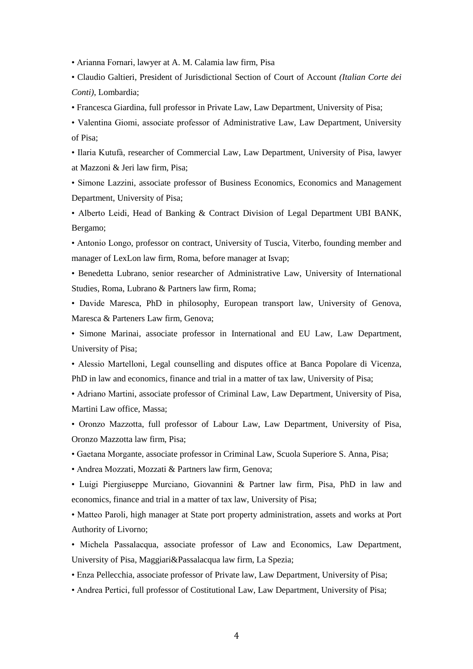• Arianna Fornari, lawyer at A. M. Calamia law firm, Pisa

• Claudio Galtieri, President of Jurisdictional Section of Court of Account *(Italian Corte dei Conti)*, Lombardia;

• Francesca Giardina, full professor in Private Law, Law Department, University of Pisa;

• Valentina Giomi, associate professor of Administrative Law, Law Department, University of Pisa;

• Ilaria Kutufà, researcher of Commercial Law, Law Department, University of Pisa, lawyer at Mazzoni & Jeri law firm, Pisa;

• Simone Lazzini, associate professor of Business Economics, Economics and Management Department, University of Pisa;

• Alberto Leidi, Head of Banking & Contract Division of Legal Department UBI BANK, Bergamo;

• Antonio Longo, professor on contract, University of Tuscia, Viterbo, founding member and manager of LexLon law firm, Roma, before manager at Isvap;

• Benedetta Lubrano, senior researcher of Administrative Law, University of International Studies, Roma, Lubrano & Partners law firm, Roma;

• Davide Maresca, PhD in philosophy, European transport law, University of Genova, Maresca & Parteners Law firm, Genova;

• Simone Marinai, associate professor in International and EU Law, Law Department, University of Pisa;

• Alessio Martelloni, Legal counselling and disputes office at Banca Popolare di Vicenza, PhD in law and economics, finance and trial in a matter of tax law, University of Pisa;

• Adriano Martini, associate professor of Criminal Law, Law Department, University of Pisa, Martini Law office, Massa;

• Oronzo Mazzotta, full professor of Labour Law, Law Department, University of Pisa, Oronzo Mazzotta law firm, Pisa;

• Gaetana Morgante, associate professor in Criminal Law, Scuola Superiore S. Anna, Pisa;

• Andrea Mozzati, Mozzati & Partners law firm, Genova;

• Luigi Piergiuseppe Murciano, Giovannini & Partner law firm, Pisa, PhD in law and economics, finance and trial in a matter of tax law, University of Pisa;

• Matteo Paroli, high manager at State port property administration, assets and works at Port Authority of Livorno;

• Michela Passalacqua, associate professor of Law and Economics, Law Department, University of Pisa, Maggiari&Passalacqua law firm, La Spezia;

• Enza Pellecchia, associate professor of Private law, Law Department, University of Pisa;

• Andrea Pertici, full professor of Costitutional Law, Law Department, University of Pisa;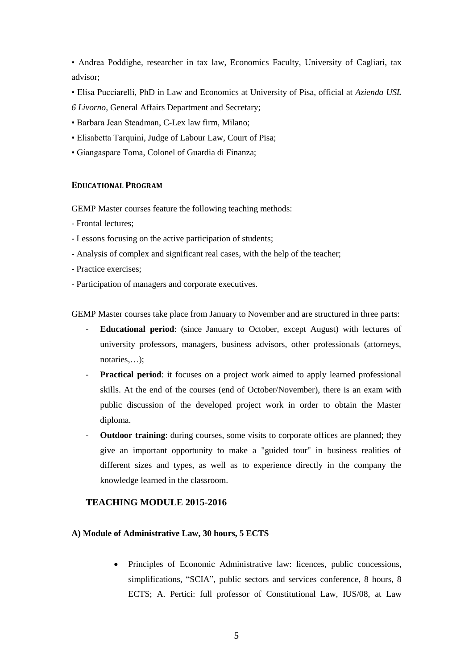• Andrea Poddighe, researcher in tax law, Economics Faculty, University of Cagliari, tax advisor;

- Elisa Pucciarelli, PhD in Law and Economics at University of Pisa, official at *Azienda USL*
- *6 Livorno,* General Affairs Department and Secretary;
- Barbara Jean Steadman, C-Lex law firm, Milano;
- Elisabetta Tarquini, Judge of Labour Law, Court of Pisa;
- Giangaspare Toma, Colonel of Guardia di Finanza;

#### **EDUCATIONAL PROGRAM**

GEMP Master courses feature the following teaching methods:

- Frontal lectures;
- Lessons focusing on the active participation of students;
- Analysis of complex and significant real cases, with the help of the teacher;
- Practice exercises;
- Participation of managers and corporate executives.

GEMP Master courses take place from January to November and are structured in three parts:

- **Educational period**: (since January to October, except August) with lectures of university professors, managers, business advisors, other professionals (attorneys, notaries,…);
- **Practical period**: it focuses on a project work aimed to apply learned professional skills. At the end of the courses (end of October/November), there is an exam with public discussion of the developed project work in order to obtain the Master diploma.
- **Outdoor training**: during courses, some visits to corporate offices are planned; they give an important opportunity to make a "guided tour" in business realities of different sizes and types, as well as to experience directly in the company the knowledge learned in the classroom.

## **TEACHING MODULE 2015-2016**

### **A) Module of Administrative Law, 30 hours, 5 ECTS**

 Principles of Economic Administrative law: licences, public concessions, simplifications, "SCIA", public sectors and services conference, 8 hours, 8 ECTS; A. Pertici: full professor of Constitutional Law, IUS/08, at Law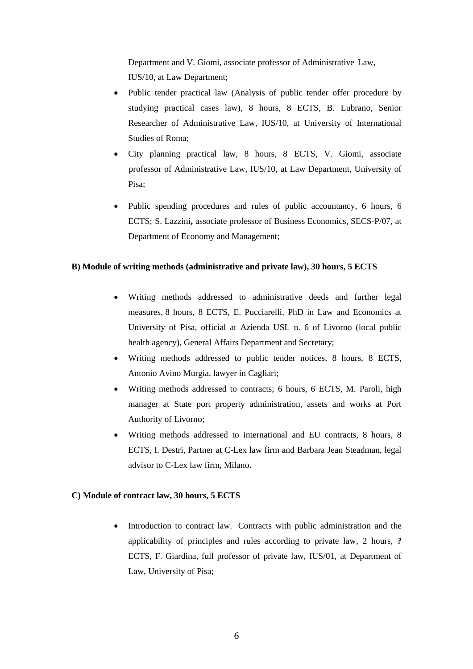Department and V. Giomi, associate professor of Administrative Law, IUS/10, at Law Department;

- Public tender practical law (Analysis of public tender offer procedure by studying practical cases law), 8 hours, 8 ECTS, B. Lubrano, Senior Researcher of Administrative Law, IUS/10, at University of International Studies of Roma;
- City planning practical law, 8 hours, 8 ECTS, V. Giomi, associate professor of Administrative Law, IUS/10, at Law Department, University of Pisa;
- Public spending procedures and rules of public accountancy, 6 hours, 6 ECTS; S. Lazzini**,** associate professor of Business Economics, SECS-P/07, at Department of Economy and Management;

## **B) Module of writing methods (administrative and private law), 30 hours, 5 ECTS**

- Writing methods addressed to administrative deeds and further legal measures, 8 hours, 8 ECTS, E. Pucciarelli, PhD in Law and Economics at University of Pisa, official at Azienda USL n. 6 of Livorno (local public health agency), General Affairs Department and Secretary;
- Writing methods addressed to public tender notices, 8 hours, 8 ECTS, Antonio Avino Murgia, lawyer in Cagliari;
- Writing methods addressed to contracts; 6 hours, 6 ECTS, M. Paroli, high manager at State port property administration, assets and works at Port Authority of Livorno;
- Writing methods addressed to international and EU contracts, 8 hours, 8 ECTS, I. Destri, Partner at C-Lex law firm and Barbara Jean Steadman, legal advisor to C-Lex law firm, Milano.

## **C) Module of contract law, 30 hours, 5 ECTS**

• Introduction to contract law. Contracts with public administration and the applicability of principles and rules according to private law, 2 hours, **?** ECTS, F. Giardina, full professor of private law, IUS/01, at Department of Law, University of Pisa;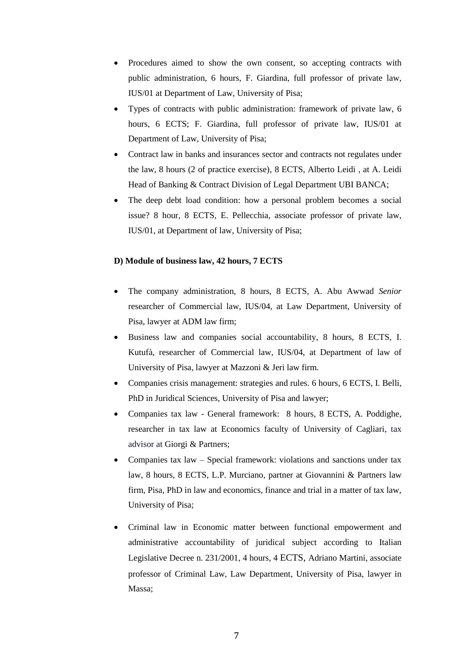- Procedures aimed to show the own consent, so accepting contracts with public administration, 6 hours, F. Giardina, full professor of private law, IUS/01 at Department of Law, University of Pisa;
- Types of contracts with public administration: framework of private law, 6 hours, 6 ECTS; F. Giardina, full professor of private law, IUS/01 at Department of Law, University of Pisa;
- Contract law in banks and insurances sector and contracts not regulates under the law, 8 hours (2 of practice exercise), 8 ECTS, Alberto Leidi , at A. Leidi Head of Banking & Contract Division of Legal Department UBI BANCA;
- The deep debt load condition: how a personal problem becomes a social issue? 8 hour, 8 ECTS, E. Pellecchia, associate professor of private law, IUS/01, at Department of law, University of Pisa;

## **D) Module of business law, 42 hours, 7 ECTS**

- The company administration, 8 hours, 8 ECTS, A. Abu Awwad *Senior*  researcher of Commercial law, IUS/04, at Law Department, University of Pisa, lawyer at ADM law firm;
- Business law and companies social accountability, 8 hours, 8 ECTS, I. Kutufà, researcher of Commercial law, IUS/04, at Department of law of University of Pisa, lawyer at Mazzoni & Jeri law firm.
- Companies crisis management: strategies and rules. 6 hours, 6 ECTS, I. Belli, PhD in Juridical Sciences, University of Pisa and lawyer;
- Companies tax law General framework: 8 hours, 8 ECTS, A. Poddighe, researcher in tax law at Economics faculty of University of Cagliari, tax advisor at Giorgi & Partners;
- Companies tax law Special framework: violations and sanctions under tax law, 8 hours, 8 ECTS, L.P. Murciano, partner at Giovannini & Partners law firm, Pisa, PhD in law and economics, finance and trial in a matter of tax law, University of Pisa;
- Criminal law in Economic matter between functional empowerment and administrative accountability of juridical subject according to Italian Legislative Decree n. 231/2001, 4 hours, 4 ECTS, Adriano Martini, associate professor of Criminal Law, Law Department, University of Pisa, lawyer in Massa;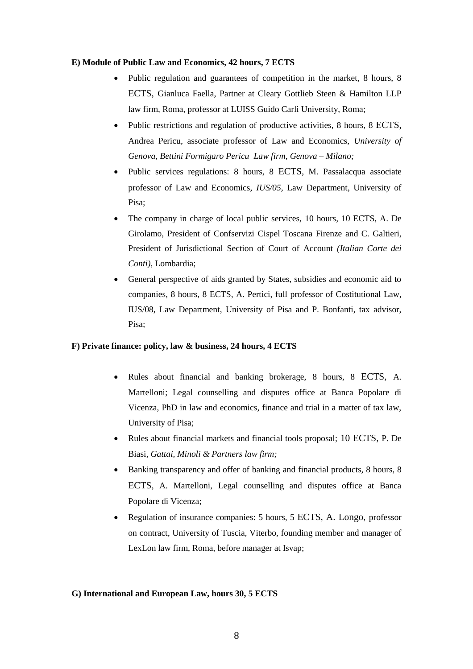#### **E) Module of Public Law and Economics, 42 hours, 7 ECTS**

- Public regulation and guarantees of competition in the market, 8 hours, 8 ECTS, Gianluca Faella*,* Partner at Cleary Gottlieb Steen & Hamilton LLP law firm, Roma, professor at LUISS Guido Carli University, Roma;
- Public restrictions and regulation of productive activities, 8 hours, 8 ECTS, Andrea Pericu, associate professor of Law and Economics, *University of Genova, Bettini Formigaro Pericu Law firm, Genova – Milano;*
- Public services regulations: 8 hours, 8 ECTS, M. Passalacqua associate professor of Law and Economics, *IUS/05,* Law Department, University of Pisa;
- The company in charge of local public services, 10 hours, 10 ECTS, A. De Girolamo, President of Confservizi Cispel Toscana Firenze and C. Galtieri, President of Jurisdictional Section of Court of Account *(Italian Corte dei Conti)*, Lombardia;
- General perspective of aids granted by States, subsidies and economic aid to companies, 8 hours, 8 ECTS, A. Pertici, full professor of Costitutional Law, IUS/08, Law Department, University of Pisa and P. Bonfanti, tax advisor, Pisa;

## **F) Private finance: policy, law & business, 24 hours, 4 ECTS**

- Rules about financial and banking brokerage, 8 hours, 8 ECTS, A. Martelloni; Legal counselling and disputes office at Banca Popolare di Vicenza, PhD in law and economics, finance and trial in a matter of tax law, University of Pisa;
- Rules about financial markets and financial tools proposal; 10 ECTS, P. De Biasi, *Gattai, Minoli & Partners law firm;*
- Banking transparency and offer of banking and financial products, 8 hours, 8 ECTS, A. Martelloni, Legal counselling and disputes office at Banca Popolare di Vicenza;
- Regulation of insurance companies: 5 hours, 5 ECTS, A. Longo, professor on contract, University of Tuscia, Viterbo, founding member and manager of LexLon law firm, Roma, before manager at Isvap;

## **G) International and European Law, hours 30, 5 ECTS**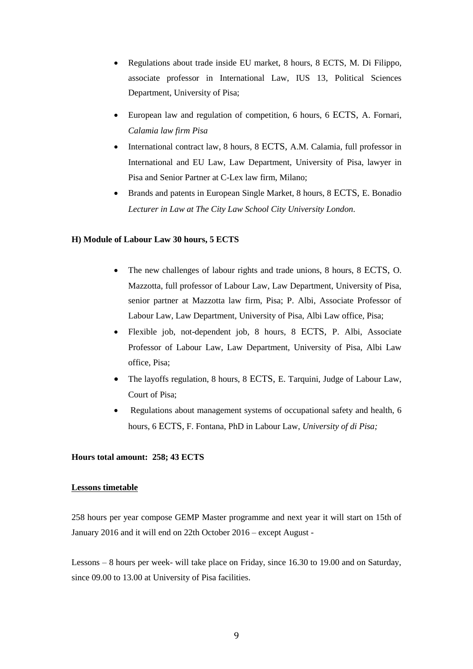- Regulations about trade inside EU market, 8 hours, 8 ECTS, M. Di Filippo*,*  associate professor in International Law, IUS 13, Political Sciences Department, University of Pisa;
- European law and regulation of competition, 6 hours, 6 ECTS, A. Fornari*, Calamia law firm Pisa*
- International contract law, 8 hours, 8 ECTS, A.M. Calamia*,* full professor in International and EU Law, Law Department, University of Pisa, lawyer in Pisa and Senior Partner at C-Lex law firm, Milano;
- Brands and patents in European Single Market, 8 hours, 8 ECTS, E. Bonadio *Lecturer in Law at The City Law School City University London.*

#### **H) Module of Labour Law 30 hours, 5 ECTS**

- The new challenges of labour rights and trade unions, 8 hours, 8 ECTS, O. Mazzotta, full professor of Labour Law, Law Department, University of Pisa, senior partner at Mazzotta law firm, Pisa; P. Albi, Associate Professor of Labour Law, Law Department, University of Pisa, Albi Law office, Pisa;
- Flexible job, not-dependent job, 8 hours, 8 ECTS, P. Albi, Associate Professor of Labour Law, Law Department, University of Pisa, Albi Law office, Pisa;
- The layoffs regulation, 8 hours, 8 ECTS, E. Tarquini, Judge of Labour Law, Court of Pisa;
- Regulations about management systems of occupational safety and health, 6 hours, 6 ECTS, F. Fontana, PhD in Labour Law, *University of di Pisa;*

#### **Hours total amount: 258; 43 ECTS**

#### **Lessons timetable**

258 hours per year compose GEMP Master programme and next year it will start on 15th of January 2016 and it will end on 22th October 2016 – except August -

Lessons – 8 hours per week- will take place on Friday, since 16.30 to 19.00 and on Saturday, since 09.00 to 13.00 at University of Pisa facilities.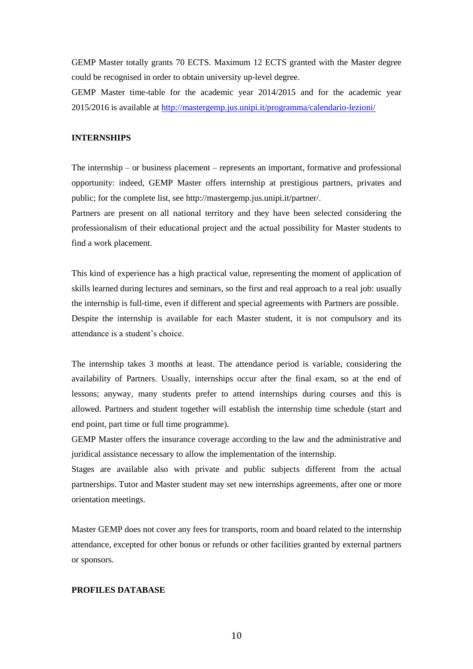GEMP Master totally grants 70 ECTS. Maximum 12 ECTS granted with the Master degree could be recognised in order to obtain university up-level degree.

GEMP Master time-table for the academic year 2014/2015 and for the academic year 2015/2016 is available at<http://mastergemp.jus.unipi.it/programma/calendario-lezioni/>

## **INTERNSHIPS**

The internship – or business placement – represents an important, formative and professional opportunity: indeed, GEMP Master offers internship at prestigious partners, privates and public; for the complete list, see http://mastergemp.jus.unipi.it/partner/.

Partners are present on all national territory and they have been selected considering the professionalism of their educational project and the actual possibility for Master students to find a work placement.

This kind of experience has a high practical value, representing the moment of application of skills learned during lectures and seminars, so the first and real approach to a real job: usually the internship is full-time, even if different and special agreements with Partners are possible. Despite the internship is available for each Master student, it is not compulsory and its attendance is a student's choice.

The internship takes 3 months at least. The attendance period is variable, considering the availability of Partners. Usually, internships occur after the final exam, so at the end of lessons; anyway, many students prefer to attend internships during courses and this is allowed. Partners and student together will establish the internship time schedule (start and end point, part time or full time programme).

GEMP Master offers the insurance coverage according to the law and the administrative and juridical assistance necessary to allow the implementation of the internship.

Stages are available also with private and public subjects different from the actual partnerships. Tutor and Master student may set new internships agreements, after one or more orientation meetings.

Master GEMP does not cover any fees for transports, room and board related to the internship attendance, excepted for other bonus or refunds or other facilities granted by external partners or sponsors.

## **PROFILES DATABASE**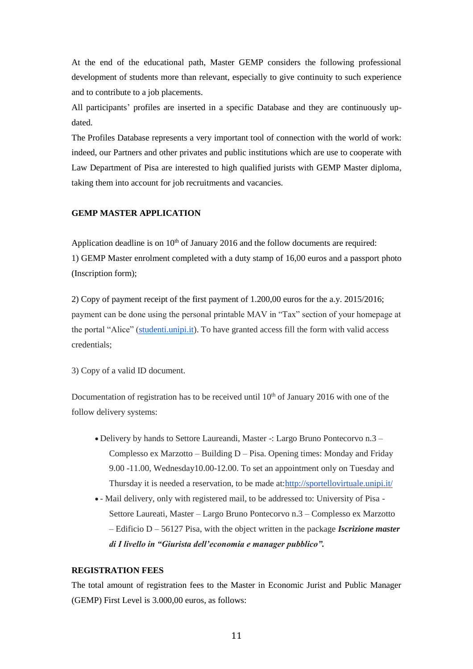At the end of the educational path, Master GEMP considers the following professional development of students more than relevant, especially to give continuity to such experience and to contribute to a job placements.

All participants' profiles are inserted in a specific Database and they are continuously updated.

The Profiles Database represents a very important tool of connection with the world of work: indeed, our Partners and other privates and public institutions which are use to cooperate with Law Department of Pisa are interested to high qualified jurists with GEMP Master diploma, taking them into account for job recruitments and vacancies.

## **GEMP MASTER APPLICATION**

Application deadline is on  $10<sup>th</sup>$  of January 2016 and the follow documents are required: 1) GEMP Master enrolment completed with a duty stamp of 16,00 euros and a passport photo (Inscription form);

2) Copy of payment receipt of the first payment of 1.200,00 euros for the a.y. 2015/2016; payment can be done using the personal printable MAV in "Tax" section of your homepage at the portal "Alice" [\(studenti.unipi.it\)](http://studenti.unipi.it/). To have granted access fill the form with valid access credentials;

3) Copy of a valid ID document.

Documentation of registration has to be received until  $10<sup>th</sup>$  of January 2016 with one of the follow delivery systems:

- Delivery by hands to Settore Laureandi, Master -: Largo Bruno Pontecorvo n.3 Complesso ex Marzotto – Building D – Pisa. Opening times: Monday and Friday 9.00 -11.00, Wednesday10.00-12.00. To set an appointment only on Tuesday and Thursday it is needed a reservation, to be made at[:http://sportellovirtuale.unipi.it/](http://sportellovirtuale.unipi.it/)
- Mail delivery, only with registered mail, to be addressed to: University of Pisa Settore Laureati, Master – Largo Bruno Pontecorvo n.3 – Complesso ex Marzotto – Edificio D – 56127 Pisa, with the object written in the package *Iscrizione master di I livello in "Giurista dell'economia e manager pubblico".*

## **REGISTRATION FEES**

The total amount of registration fees to the Master in Economic Jurist and Public Manager (GEMP) First Level is 3.000,00 euros, as follows: